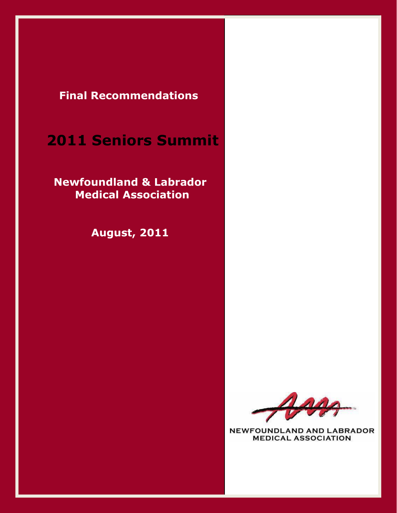**Final Recommendations**

# **2011 Seniors Summit**

 **Newfoundland & Labrador Medical Association**

 **August, 2011**



NEWFOUNDLAND AND LABRADOR **MEDICAL ASSOCIATION**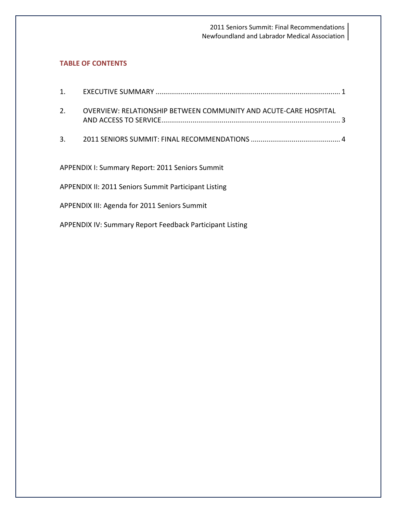## **TABLE OF CONTENTS**

| 1.                                                       |                                                                  |  |
|----------------------------------------------------------|------------------------------------------------------------------|--|
| 2.                                                       | OVERVIEW: RELATIONSHIP BETWEEN COMMUNITY AND ACUTE-CARE HOSPITAL |  |
| 3.                                                       |                                                                  |  |
| <b>APPENDIX I: Summary Report: 2011 Seniors Summit</b>   |                                                                  |  |
| APPENDIX II: 2011 Seniors Summit Participant Listing     |                                                                  |  |
| APPENDIX III: Agenda for 2011 Seniors Summit             |                                                                  |  |
| APPENDIX IV: Summary Report Feedback Participant Listing |                                                                  |  |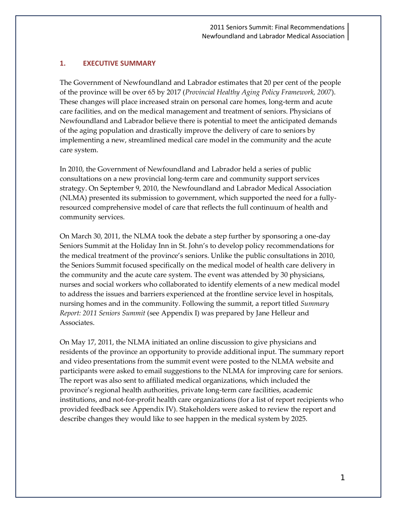## **1. EXECUTIVE SUMMARY**

The Government of Newfoundland and Labrador estimates that 20 per cent of the people of the province will be over 65 by 2017 (*Provincial Healthy Aging Policy Framework, 2007*). These changes will place increased strain on personal care homes, long-term and acute care facilities, and on the medical management and treatment of seniors. Physicians of Newfoundland and Labrador believe there is potential to meet the anticipated demands of the aging population and drastically improve the delivery of care to seniors by implementing a new, streamlined medical care model in the community and the acute care system.

In 2010, the Government of Newfoundland and Labrador held a series of public consultations on a new provincial long-term care and community support services strategy. On September 9, 2010, the Newfoundland and Labrador Medical Association (NLMA) presented its submission to government, which supported the need for a fullyresourced comprehensive model of care that reflects the full continuum of health and community services.

On March 30, 2011, the NLMA took the debate a step further by sponsoring a one-day Seniors Summit at the Holiday Inn in St. John's to develop policy recommendations for the medical treatment of the province's seniors. Unlike the public consultations in 2010, the Seniors Summit focused specifically on the medical model of health care delivery in the community and the acute care system. The event was attended by 30 physicians, nurses and social workers who collaborated to identify elements of a new medical model to address the issues and barriers experienced at the frontline service level in hospitals, nursing homes and in the community. Following the summit, a report titled *Summary Report: 2011 Seniors Summit* (see Appendix I) was prepared by Jane Helleur and Associates.

On May 17, 2011, the NLMA initiated an online discussion to give physicians and residents of the province an opportunity to provide additional input. The summary report and video presentations from the summit event were posted to the NLMA website and participants were asked to email suggestions to the NLMA for improving care for seniors. The report was also sent to affiliated medical organizations, which included the province's regional health authorities, private long-term care facilities, academic institutions, and not-for-profit health care organizations (for a list of report recipients who provided feedback see Appendix IV). Stakeholders were asked to review the report and describe changes they would like to see happen in the medical system by 2025.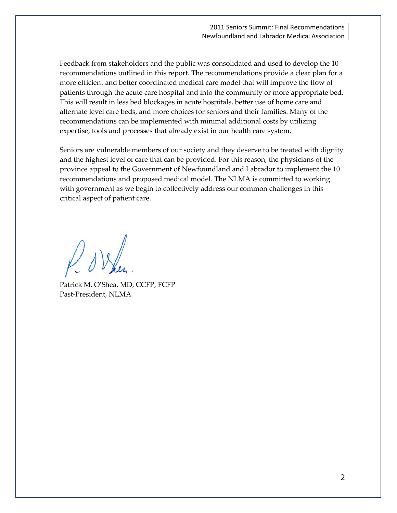Feedback from stakeholders and the public was consolidated and used to develop the 10 recommendations outlined in this report. The recommendations provide a clear plan for a more efficient and better coordinated medical care model that will improve the flow of patients through the acute care hospital and into the community or more appropriate bed. This will result in less bed blockages in acute hospitals, better use of home care and alternate level care beds, and more choices for seniors and their families. Many of the recommendations can be implemented with minimal additional costs by utilizing expertise, tools and processes that already exist in our health care system.

Seniors are vulnerable members of our society and they deserve to be treated with dignity and the highest level of care that can be provided. For this reason, the physicians of the province appeal to the Government of Newfoundland and Labrador to implement the 10 recommendations and proposed medical model. The NLMA is committed to working with government as we begin to collectively address our common challenges in this critical aspect of patient care.

Patrick M. O'Shea, MD, CCFP, FCFP Past-President, NLMA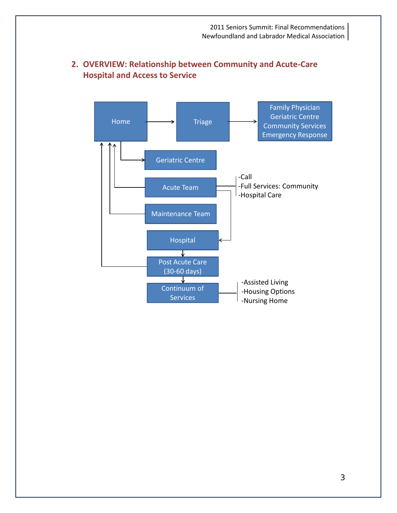

# **2. OVERVIEW: Relationship between Community and Acute-Care Hospital and Access to Service**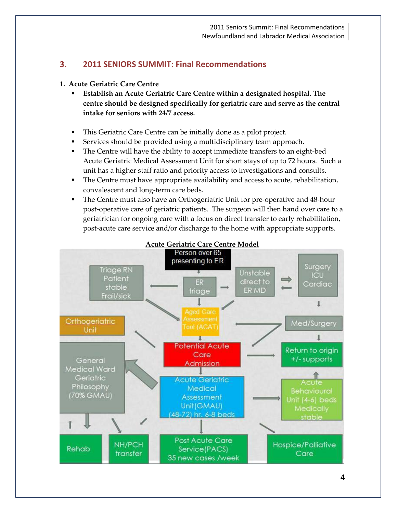# **3. 2011 SENIORS SUMMIT: Final Recommendations**

## **1. Acute Geriatric Care Centre**

- **Establish an Acute Geriatric Care Centre within a designated hospital. The centre should be designed specifically for geriatric care and serve as the central intake for seniors with 24/7 access.**
- This Geriatric Care Centre can be initially done as a pilot project.
- Services should be provided using a multidisciplinary team approach.
- The Centre will have the ability to accept immediate transfers to an eight-bed Acute Geriatric Medical Assessment Unit for short stays of up to 72 hours. Such a unit has a higher staff ratio and priority access to investigations and consults.
- The Centre must have appropriate availability and access to acute, rehabilitation, convalescent and long-term care beds.
- The Centre must also have an Orthogeriatric Unit for pre-operative and 48-hour post-operative care of geriatric patients. The surgeon will then hand over care to a geriatrician for ongoing care with a focus on direct transfer to early rehabilitation, post-acute care service and/or discharge to the home with appropriate supports.

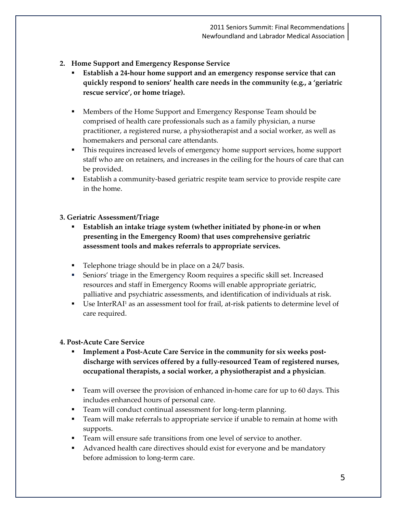- **2. Home Support and Emergency Response Service**
	- **Establish a 24-hour home support and an emergency response service that can quickly respond to seniors' health care needs in the community (e.g., a 'geriatric rescue service', or home triage).**
	- Members of the Home Support and Emergency Response Team should be comprised of health care professionals such as a family physician, a nurse practitioner, a registered nurse, a physiotherapist and a social worker, as well as homemakers and personal care attendants.
	- This requires increased levels of emergency home support services, home support staff who are on retainers, and increases in the ceiling for the hours of care that can be provided.
	- Establish a community-based geriatric respite team service to provide respite care in the home.

# **3. Geriatric Assessment/Triage**

- **Establish an intake triage system (whether initiated by phone-in or when presenting in the Emergency Room) that uses comprehensive geriatric assessment tools and makes referrals to appropriate services.**
- **Telephone triage should be in place on a 24/7 basis.**
- Seniors' triage in the Emergency Room requires a specific skill set. Increased resources and staff in Emergency Rooms will enable appropriate geriatric, palliative and psychiatric assessments, and identification of individuals at risk.
- Use InterRAI1 as an assessment tool for frail, at-risk patients to determine level of care required.

# **4. Post-Acute Care Service**

- **Implement a Post-Acute Care Service in the community for six weeks postdischarge with services offered by a fully-resourced Team of registered nurses, occupational therapists, a social worker, a physiotherapist and a physician**.
- Team will oversee the provision of enhanced in-home care for up to 60 days. This includes enhanced hours of personal care.
- Team will conduct continual assessment for long-term planning.
- **Team will make referrals to appropriate service if unable to remain at home with** supports.
- Team will ensure safe transitions from one level of service to another.
- Advanced health care directives should exist for everyone and be mandatory before admission to long-term care.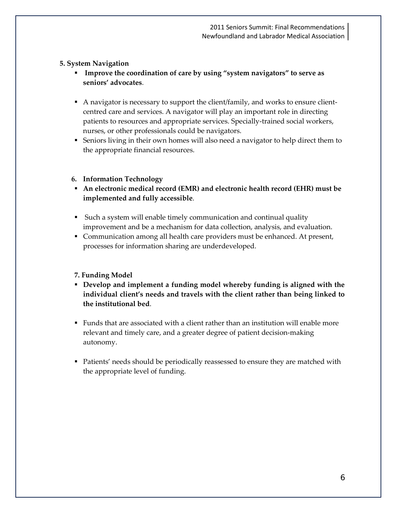# **5. System Navigation**

- **Improve the coordination of care by using "system navigators" to serve as seniors' advocates**.
- A navigator is necessary to support the client/family, and works to ensure clientcentred care and services. A navigator will play an important role in directing patients to resources and appropriate services. Specially-trained social workers, nurses, or other professionals could be navigators.
- Seniors living in their own homes will also need a navigator to help direct them to the appropriate financial resources.

# **6. Information Technology**

- **An electronic medical record (EMR) and electronic health record (EHR) must be implemented and fully accessible**.
- Such a system will enable timely communication and continual quality improvement and be a mechanism for data collection, analysis, and evaluation.
- Communication among all health care providers must be enhanced. At present, processes for information sharing are underdeveloped.

# **7. Funding Model**

- **Develop and implement a funding model whereby funding is aligned with the individual client's needs and travels with the client rather than being linked to the institutional bed**.
- Funds that are associated with a client rather than an institution will enable more relevant and timely care, and a greater degree of patient decision-making autonomy.
- **Patients' needs should be periodically reassessed to ensure they are matched with** the appropriate level of funding.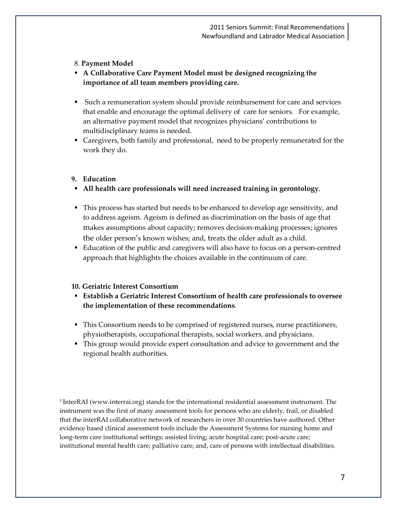## 8. **Payment Model**

- **A Collaborative Care Payment Model must be designed recognizing the importance of all team members providing care.**
- Such a remuneration system should provide reimbursement for care and services that enable and encourage the optimal delivery of care for seniors. For example, an alternative payment model that recognizes physicians' contributions to multidisciplinary teams is needed.
- Caregivers, both family and professional, need to be properly remunerated for the work they do.

# **9. Education**

- **All health care professionals will need increased training in gerontology**.
- This process has started but needs to be enhanced to develop age sensitivity, and to address ageism. Ageism is defined as discrimination on the basis of age that makes assumptions about capacity; removes decision-making processes; ignores the older person's known wishes; and, treats the older adult as a child.
- Education of the public and caregivers will also have to focus on a person-centred approach that highlights the choices available in the continuum of care.

# **10. Geriatric Interest Consortium**

- **Establish a Geriatric Interest Consortium of health care professionals to oversee the implementation of these recommendations**.
- This Consortium needs to be comprised of registered nurses, nurse practitioners, physiotherapists, occupational therapists, social workers, and physicians.
- This group would provide expert consultation and advice to government and the regional health authorities.

<sup>1</sup> InterRAI (www.interrai.org) stands for the international residential assessment instrument. The instrument was the first of many assessment tools for persons who are elderly, frail, or disabled that the interRAI collaborative network of researchers in over 30 countries have authored. Other evidence based clinical assessment tools include the Assessment Systems for nursing home and long-term care institutional settings; assisted living; acute hospital care; post-acute care; institutional mental health care; palliative care; and, care of persons with intellectual disabilities.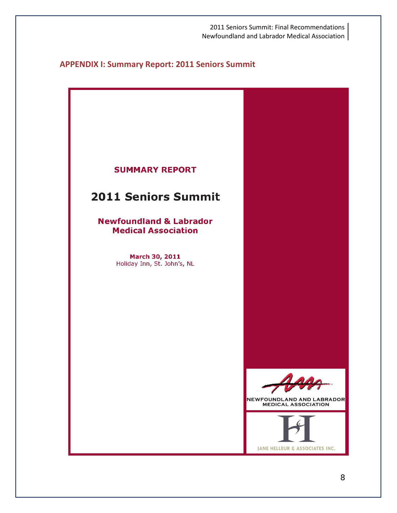# **APPENDIX I: Summary Report: 2011 Seniors Summit**

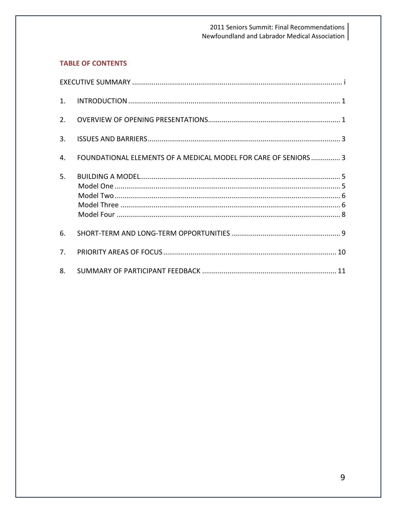# **TABLE OF CONTENTS**

| 1.             |                                                                 |  |
|----------------|-----------------------------------------------------------------|--|
| 2.             |                                                                 |  |
| 3.             |                                                                 |  |
| $\mathbf{A}$   | FOUNDATIONAL ELEMENTS OF A MEDICAL MODEL FOR CARE OF SENIORS  3 |  |
| 5.             |                                                                 |  |
| 6.             |                                                                 |  |
| 7 <sub>1</sub> |                                                                 |  |
| 8.             |                                                                 |  |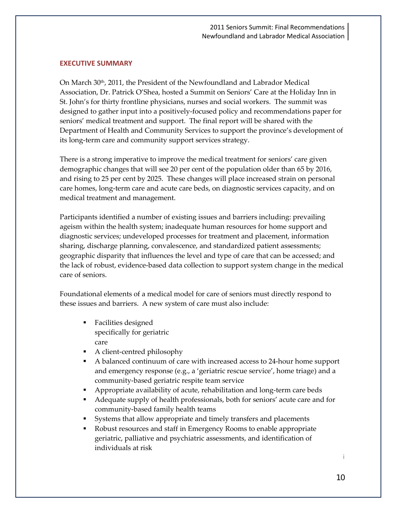#### **EXECUTIVE SUMMARY**

On March 30<sup>th</sup>, 2011, the President of the Newfoundland and Labrador Medical Association, Dr. Patrick O'Shea, hosted a Summit on Seniors' Care at the Holiday Inn in St. John's for thirty frontline physicians, nurses and social workers. The summit was designed to gather input into a positively-focused policy and recommendations paper for seniors' medical treatment and support. The final report will be shared with the Department of Health and Community Services to support the province's development of its long-term care and community support services strategy.

There is a strong imperative to improve the medical treatment for seniors' care given demographic changes that will see 20 per cent of the population older than 65 by 2016, and rising to 25 per cent by 2025. These changes will place increased strain on personal care homes, long-term care and acute care beds, on diagnostic services capacity, and on medical treatment and management.

Participants identified a number of existing issues and barriers including: prevailing ageism within the health system; inadequate human resources for home support and diagnostic services; undeveloped processes for treatment and placement, information sharing, discharge planning, convalescence, and standardized patient assessments; geographic disparity that influences the level and type of care that can be accessed; and the lack of robust, evidence-based data collection to support system change in the medical care of seniors.

Foundational elements of a medical model for care of seniors must directly respond to these issues and barriers. A new system of care must also include:

- Facilities designed specifically for geriatric care
- A client-centred philosophy
- A balanced continuum of care with increased access to 24-hour home support and emergency response (e.g., a 'geriatric rescue service', home triage) and a community-based geriatric respite team service
- Appropriate availability of acute, rehabilitation and long-term care beds
- Adequate supply of health professionals, both for seniors' acute care and for community-based family health teams
- Systems that allow appropriate and timely transfers and placements
- Robust resources and staff in Emergency Rooms to enable appropriate geriatric, palliative and psychiatric assessments, and identification of individuals at risk

i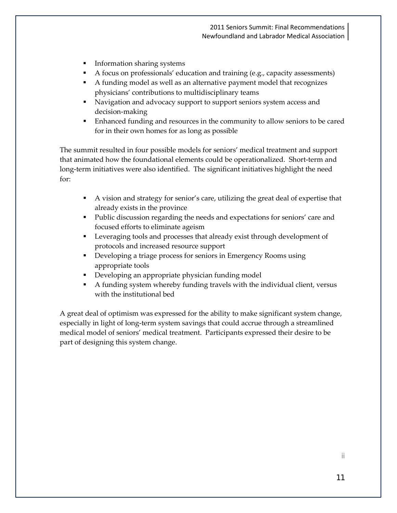- **Information sharing systems**
- A focus on professionals' education and training (e.g., capacity assessments)
- A funding model as well as an alternative payment model that recognizes physicians' contributions to multidisciplinary teams
- **Navigation and advocacy support to support seniors system access and** decision-making
- Enhanced funding and resources in the community to allow seniors to be cared for in their own homes for as long as possible

The summit resulted in four possible models for seniors' medical treatment and support that animated how the foundational elements could be operationalized. Short-term and long-term initiatives were also identified. The significant initiatives highlight the need for:

- A vision and strategy for senior's care, utilizing the great deal of expertise that already exists in the province
- Public discussion regarding the needs and expectations for seniors' care and focused efforts to eliminate ageism
- Leveraging tools and processes that already exist through development of protocols and increased resource support
- Developing a triage process for seniors in Emergency Rooms using appropriate tools
- **Developing an appropriate physician funding model**
- A funding system whereby funding travels with the individual client, versus with the institutional bed

A great deal of optimism was expressed for the ability to make significant system change, especially in light of long-term system savings that could accrue through a streamlined medical model of seniors' medical treatment. Participants expressed their desire to be part of designing this system change.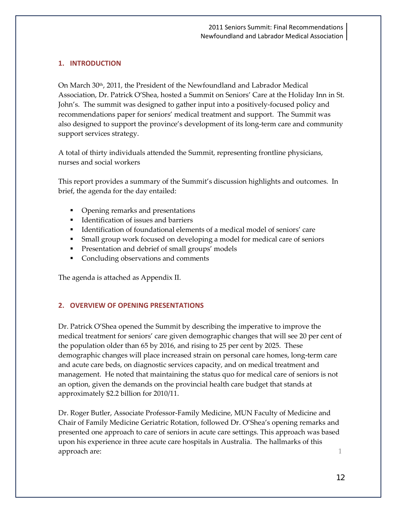## **1. INTRODUCTION**

On March 30<sup>th</sup>, 2011, the President of the Newfoundland and Labrador Medical Association, Dr. Patrick O'Shea, hosted a Summit on Seniors' Care at the Holiday Inn in St. John's. The summit was designed to gather input into a positively-focused policy and recommendations paper for seniors' medical treatment and support. The Summit was also designed to support the province's development of its long-term care and community support services strategy.

A total of thirty individuals attended the Summit, representing frontline physicians, nurses and social workers

This report provides a summary of the Summit's discussion highlights and outcomes. In brief, the agenda for the day entailed:

- Opening remarks and presentations
- Identification of issues and barriers
- Identification of foundational elements of a medical model of seniors' care
- Small group work focused on developing a model for medical care of seniors
- **Presentation and debrief of small groups' models**
- Concluding observations and comments

The agenda is attached as Appendix II.

## **2. OVERVIEW OF OPENING PRESENTATIONS**

Dr. Patrick O'Shea opened the Summit by describing the imperative to improve the medical treatment for seniors' care given demographic changes that will see 20 per cent of the population older than 65 by 2016, and rising to 25 per cent by 2025. These demographic changes will place increased strain on personal care homes, long-term care and acute care beds, on diagnostic services capacity, and on medical treatment and management. He noted that maintaining the status quo for medical care of seniors is not an option, given the demands on the provincial health care budget that stands at approximately \$2.2 billion for 2010/11.

Dr. Roger Butler, Associate Professor-Family Medicine, MUN Faculty of Medicine and Chair of Family Medicine Geriatric Rotation, followed Dr. O'Shea's opening remarks and presented one approach to care of seniors in acute care settings. This approach was based upon his experience in three acute care hospitals in Australia. The hallmarks of this approach are: 1 approach are: 1 approach are: 1 approach are: 1 approach are: 1 approach are: 1 approach are: 1 approach are: 1 approach are: 1 approach are: 1 approach are: 1 approach are: 1 approach are: 1 approach are: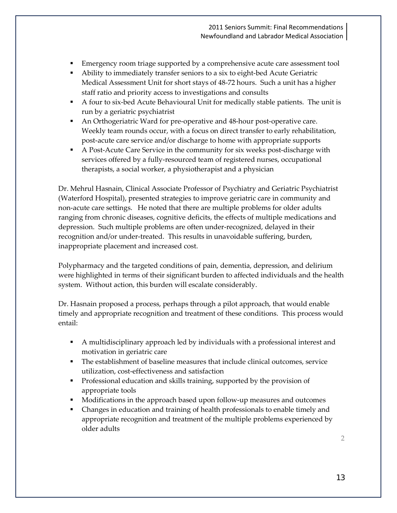- Emergency room triage supported by a comprehensive acute care assessment tool
- Ability to immediately transfer seniors to a six to eight-bed Acute Geriatric Medical Assessment Unit for short stays of 48-72 hours. Such a unit has a higher staff ratio and priority access to investigations and consults
- A four to six-bed Acute Behavioural Unit for medically stable patients. The unit is run by a geriatric psychiatrist
- An Orthogeriatric Ward for pre-operative and 48-hour post-operative care. Weekly team rounds occur, with a focus on direct transfer to early rehabilitation, post-acute care service and/or discharge to home with appropriate supports
- A Post-Acute Care Service in the community for six weeks post-discharge with services offered by a fully-resourced team of registered nurses, occupational therapists, a social worker, a physiotherapist and a physician

Dr. Mehrul Hasnain, Clinical Associate Professor of Psychiatry and Geriatric Psychiatrist (Waterford Hospital), presented strategies to improve geriatric care in community and non-acute care settings. He noted that there are multiple problems for older adults ranging from chronic diseases, cognitive deficits, the effects of multiple medications and depression. Such multiple problems are often under-recognized, delayed in their recognition and/or under-treated. This results in unavoidable suffering, burden, inappropriate placement and increased cost.

Polypharmacy and the targeted conditions of pain, dementia, depression, and delirium were highlighted in terms of their significant burden to affected individuals and the health system. Without action, this burden will escalate considerably.

Dr. Hasnain proposed a process, perhaps through a pilot approach, that would enable timely and appropriate recognition and treatment of these conditions. This process would entail:

- A multidisciplinary approach led by individuals with a professional interest and motivation in geriatric care
- The establishment of baseline measures that include clinical outcomes, service utilization, cost-effectiveness and satisfaction
- **Professional education and skills training, supported by the provision of** appropriate tools
- **Modifications in the approach based upon follow-up measures and outcomes**
- Changes in education and training of health professionals to enable timely and appropriate recognition and treatment of the multiple problems experienced by older adults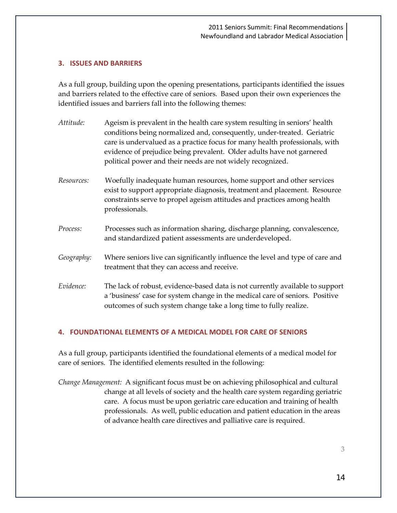### **3. ISSUES AND BARRIERS**

As a full group, building upon the opening presentations, participants identified the issues and barriers related to the effective care of seniors. Based upon their own experiences the identified issues and barriers fall into the following themes:

- *Attitude:* Ageism is prevalent in the health care system resulting in seniors' health conditions being normalized and, consequently, under-treated. Geriatric care is undervalued as a practice focus for many health professionals, with evidence of prejudice being prevalent. Older adults have not garnered political power and their needs are not widely recognized. *Resources:* Woefully inadequate human resources, home support and other services exist to support appropriate diagnosis, treatment and placement. Resource constraints serve to propel ageism attitudes and practices among health professionals. *Process:* Processes such as information sharing, discharge planning, convalescence, and standardized patient assessments are underdeveloped. *Geography:* Where seniors live can significantly influence the level and type of care and treatment that they can access and receive. *Evidence:* The lack of robust, evidence-based data is not currently available to support
- a 'business' case for system change in the medical care of seniors. Positive outcomes of such system change take a long time to fully realize.

#### **4. FOUNDATIONAL ELEMENTS OF A MEDICAL MODEL FOR CARE OF SENIORS**

As a full group, participants identified the foundational elements of a medical model for care of seniors. The identified elements resulted in the following:

*Change Management:* A significant focus must be on achieving philosophical and cultural change at all levels of society and the health care system regarding geriatric care. A focus must be upon geriatric care education and training of health professionals. As well, public education and patient education in the areas of advance health care directives and palliative care is required.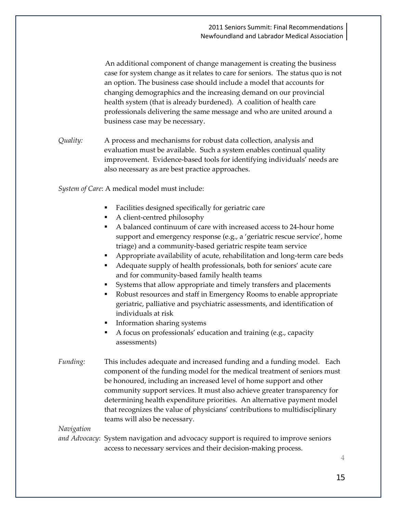An additional component of change management is creating the business case for system change as it relates to care for seniors. The status quo is not an option. The business case should include a model that accounts for changing demographics and the increasing demand on our provincial health system (that is already burdened). A coalition of health care professionals delivering the same message and who are united around a business case may be necessary.

*Quality:* A process and mechanisms for robust data collection, analysis and evaluation must be available. Such a system enables continual quality improvement. Evidence-based tools for identifying individuals' needs are also necessary as are best practice approaches.

*System of Care*: A medical model must include:

- Facilities designed specifically for geriatric care
- A client-centred philosophy
- A balanced continuum of care with increased access to 24-hour home support and emergency response (e.g., a 'geriatric rescue service', home triage) and a community-based geriatric respite team service
- Appropriate availability of acute, rehabilitation and long-term care beds
- Adequate supply of health professionals, both for seniors' acute care and for community-based family health teams
- Systems that allow appropriate and timely transfers and placements
- Robust resources and staff in Emergency Rooms to enable appropriate geriatric, palliative and psychiatric assessments, and identification of individuals at risk
- Information sharing systems
- A focus on professionals' education and training (e.g., capacity assessments)
- *Funding:* This includes adequate and increased funding and a funding model. Each component of the funding model for the medical treatment of seniors must be honoured, including an increased level of home support and other community support services. It must also achieve greater transparency for determining health expenditure priorities. An alternative payment model that recognizes the value of physicians' contributions to multidisciplinary teams will also be necessary.

*Navigation* 

*and Advocacy*: System navigation and advocacy support is required to improve seniors access to necessary services and their decision-making process.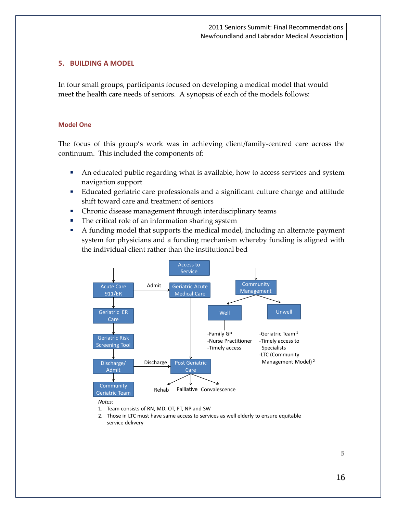#### **5. BUILDING A MODEL**

In four small groups, participants focused on developing a medical model that would meet the health care needs of seniors. A synopsis of each of the models follows:

#### **Model One**

The focus of this group's work was in achieving client/family-centred care across the continuum. This included the components of:

- An educated public regarding what is available, how to access services and system navigation support
- Educated geriatric care professionals and a significant culture change and attitude shift toward care and treatment of seniors
- Chronic disease management through interdisciplinary teams
- The critical role of an information sharing system
- A funding model that supports the medical model, including an alternate payment system for physicians and a funding mechanism whereby funding is aligned with the individual client rather than the institutional bed



<sup>1.</sup> Team consists of RN, MD. OT, PT, NP and SW

<sup>2.</sup> Those in LTC must have same access to services as well elderly to ensure equitable service delivery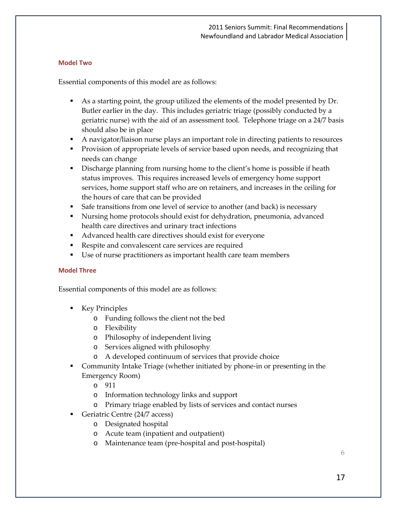#### **Model Two**

Essential components of this model are as follows:

- As a starting point, the group utilized the elements of the model presented by Dr. Butler earlier in the day. This includes geriatric triage (possibly conducted by a geriatric nurse) with the aid of an assessment tool. Telephone triage on a 24/7 basis should also be in place
- A navigator/liaison nurse plays an important role in directing patients to resources
- **Provision of appropriate levels of service based upon needs, and recognizing that** needs can change
- Discharge planning from nursing home to the client's home is possible if heath status improves. This requires increased levels of emergency home support services, home support staff who are on retainers, and increases in the ceiling for the hours of care that can be provided
- Safe transitions from one level of service to another (and back) is necessary
- Nursing home protocols should exist for dehydration, pneumonia, advanced health care directives and urinary tract infections
- Advanced health care directives should exist for everyone
- Respite and convalescent care services are required
- Use of nurse practitioners as important health care team members

#### **Model Three**

Essential components of this model are as follows:

- **Key Principles** 
	- o Funding follows the client not the bed
	- o Flexibility
	- o Philosophy of independent living
	- o Services aligned with philosophy
	- o A developed continuum of services that provide choice
- Community Intake Triage (whether initiated by phone-in or presenting in the Emergency Room)
	- o 911
	- o Information technology links and support
	- o Primary triage enabled by lists of services and contact nurses
- Geriatric Centre (24/7 access)
	- o Designated hospital
	- o Acute team (inpatient and outpatient)
	- o Maintenance team (pre-hospital and post-hospital)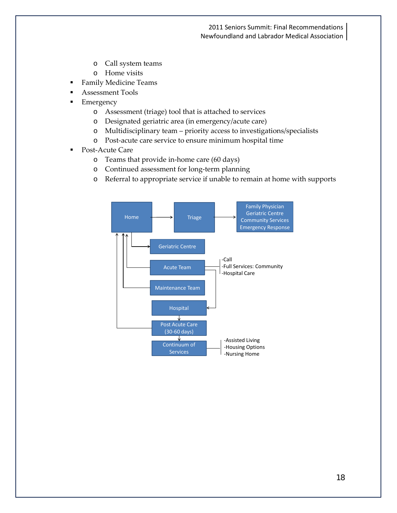- o Call system teams
- o Home visits
- **Family Medicine Teams**
- Assessment Tools
- **Emergency** 
	- o Assessment (triage) tool that is attached to services
	- o Designated geriatric area (in emergency/acute care)
	- o Multidisciplinary team priority access to investigations/specialists
	- o Post-acute care service to ensure minimum hospital time
- Post-Acute Care
	- o Teams that provide in-home care (60 days)
	- o Continued assessment for long-term planning
	- o Referral to appropriate service if unable to remain at home with supports

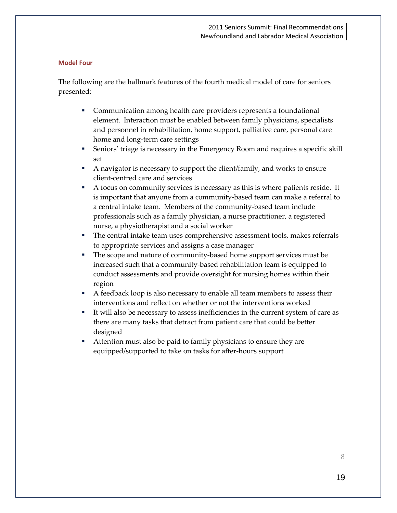#### **Model Four**

The following are the hallmark features of the fourth medical model of care for seniors presented:

- Communication among health care providers represents a foundational element. Interaction must be enabled between family physicians, specialists and personnel in rehabilitation, home support, palliative care, personal care home and long-term care settings
- Seniors' triage is necessary in the Emergency Room and requires a specific skill set
- A navigator is necessary to support the client/family, and works to ensure client-centred care and services
- A focus on community services is necessary as this is where patients reside. It is important that anyone from a community-based team can make a referral to a central intake team. Members of the community-based team include professionals such as a family physician, a nurse practitioner, a registered nurse, a physiotherapist and a social worker
- The central intake team uses comprehensive assessment tools, makes referrals to appropriate services and assigns a case manager
- The scope and nature of community-based home support services must be increased such that a community-based rehabilitation team is equipped to conduct assessments and provide oversight for nursing homes within their region
- A feedback loop is also necessary to enable all team members to assess their interventions and reflect on whether or not the interventions worked
- It will also be necessary to assess inefficiencies in the current system of care as there are many tasks that detract from patient care that could be better designed
- Attention must also be paid to family physicians to ensure they are equipped/supported to take on tasks for after-hours support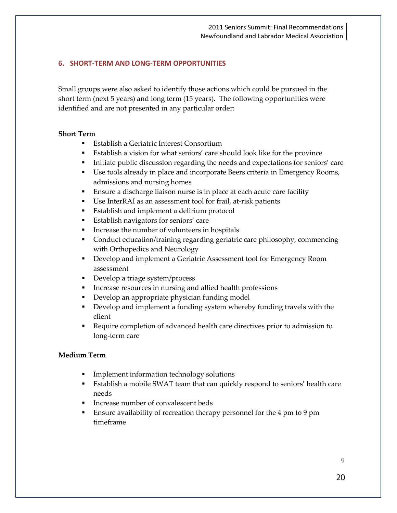## **6. SHORT-TERM AND LONG-TERM OPPORTUNITIES**

Small groups were also asked to identify those actions which could be pursued in the short term (next 5 years) and long term (15 years). The following opportunities were identified and are not presented in any particular order:

#### **Short Term**

- **Establish a Geriatric Interest Consortium**
- Establish a vision for what seniors' care should look like for the province
- Initiate public discussion regarding the needs and expectations for seniors' care
- Use tools already in place and incorporate Beers criteria in Emergency Rooms, admissions and nursing homes
- **Ensure a discharge liaison nurse is in place at each acute care facility**
- Use InterRAI as an assessment tool for frail, at-risk patients
- **Establish and implement a delirium protocol**
- **Establish navigators for seniors' care**
- **IDED** Increase the number of volunteers in hospitals
- Conduct education/training regarding geriatric care philosophy, commencing with Orthopedics and Neurology
- **•** Develop and implement a Geriatric Assessment tool for Emergency Room assessment
- **Develop a triage system/process**
- **INCREASE FESOURCES IN NURSING AND ALLET INCRESS** Interacts and allied health professions
- Develop an appropriate physician funding model
- Develop and implement a funding system whereby funding travels with the client
- Require completion of advanced health care directives prior to admission to long-term care

## **Medium Term**

- **Implement information technology solutions**
- Establish a mobile SWAT team that can quickly respond to seniors' health care needs
- **Increase number of convalescent beds**
- Ensure availability of recreation therapy personnel for the 4 pm to 9 pm timeframe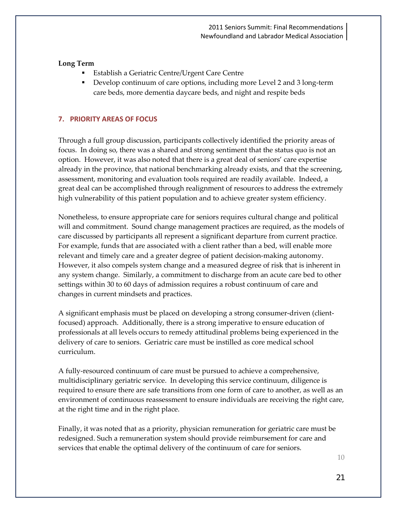#### **Long Term**

- Establish a Geriatric Centre/Urgent Care Centre
- Develop continuum of care options, including more Level 2 and 3 long-term care beds, more dementia daycare beds, and night and respite beds

## **7. PRIORITY AREAS OF FOCUS**

Through a full group discussion, participants collectively identified the priority areas of focus. In doing so, there was a shared and strong sentiment that the status quo is not an option. However, it was also noted that there is a great deal of seniors' care expertise already in the province, that national benchmarking already exists, and that the screening, assessment, monitoring and evaluation tools required are readily available. Indeed, a great deal can be accomplished through realignment of resources to address the extremely high vulnerability of this patient population and to achieve greater system efficiency.

Nonetheless, to ensure appropriate care for seniors requires cultural change and political will and commitment. Sound change management practices are required, as the models of care discussed by participants all represent a significant departure from current practice. For example, funds that are associated with a client rather than a bed, will enable more relevant and timely care and a greater degree of patient decision-making autonomy. However, it also compels system change and a measured degree of risk that is inherent in any system change. Similarly, a commitment to discharge from an acute care bed to other settings within 30 to 60 days of admission requires a robust continuum of care and changes in current mindsets and practices.

A significant emphasis must be placed on developing a strong consumer-driven (clientfocused) approach. Additionally, there is a strong imperative to ensure education of professionals at all levels occurs to remedy attitudinal problems being experienced in the delivery of care to seniors. Geriatric care must be instilled as core medical school curriculum.

A fully-resourced continuum of care must be pursued to achieve a comprehensive, multidisciplinary geriatric service. In developing this service continuum, diligence is required to ensure there are safe transitions from one form of care to another, as well as an environment of continuous reassessment to ensure individuals are receiving the right care, at the right time and in the right place.

Finally, it was noted that as a priority, physician remuneration for geriatric care must be redesigned. Such a remuneration system should provide reimbursement for care and services that enable the optimal delivery of the continuum of care for seniors.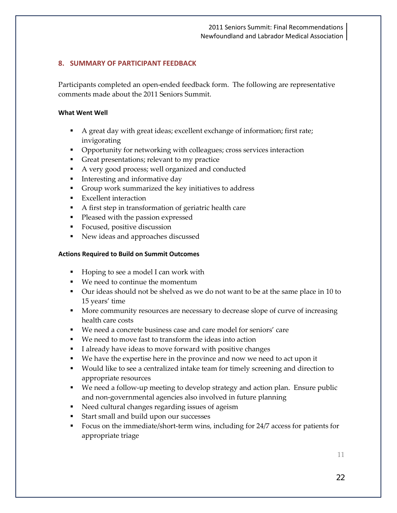## **8. SUMMARY OF PARTICIPANT FEEDBACK**

Participants completed an open-ended feedback form. The following are representative comments made about the 2011 Seniors Summit.

#### **What Went Well**

- A great day with great ideas; excellent exchange of information; first rate; invigorating
- **•** Opportunity for networking with colleagues; cross services interaction
- Great presentations; relevant to my practice
- A very good process; well organized and conducted
- **Interesting and informative day**
- Group work summarized the key initiatives to address
- **Excellent interaction**
- A first step in transformation of geriatric health care
- **Pleased with the passion expressed**
- **Focused, positive discussion**
- New ideas and approaches discussed

#### **Actions Required to Build on Summit Outcomes**

- Hoping to see a model I can work with
- We need to continue the momentum
- Our ideas should not be shelved as we do not want to be at the same place in 10 to 15 years' time
- **More community resources are necessary to decrease slope of curve of increasing** health care costs
- We need a concrete business case and care model for seniors' care
- We need to move fast to transform the ideas into action
- I already have ideas to move forward with positive changes
- We have the expertise here in the province and now we need to act upon it
- Would like to see a centralized intake team for timely screening and direction to appropriate resources
- We need a follow-up meeting to develop strategy and action plan. Ensure public and non-governmental agencies also involved in future planning
- Need cultural changes regarding issues of ageism
- Start small and build upon our successes
- Focus on the immediate/short-term wins, including for 24/7 access for patients for appropriate triage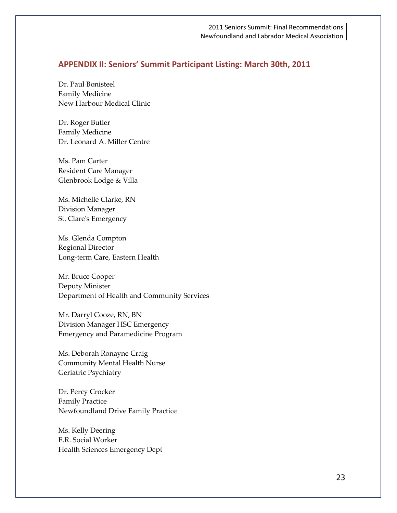#### **APPENDIX II: Seniors' Summit Participant Listing: March 30th, 2011**

Dr. Paul Bonisteel Family Medicine New Harbour Medical Clinic

Dr. Roger Butler Family Medicine Dr. Leonard A. Miller Centre

Ms. Pam Carter Resident Care Manager Glenbrook Lodge & Villa

Ms. Michelle Clarke, RN Division Manager St. Clare's Emergency

Ms. Glenda Compton Regional Director Long-term Care, Eastern Health

Mr. Bruce Cooper Deputy Minister Department of Health and Community Services

Mr. Darryl Cooze, RN, BN Division Manager HSC Emergency Emergency and Paramedicine Program

Ms. Deborah Ronayne Craig Community Mental Health Nurse Geriatric Psychiatry

Dr. Percy Crocker Family Practice Newfoundland Drive Family Practice

Ms. Kelly Deering E.R. Social Worker Health Sciences Emergency Dept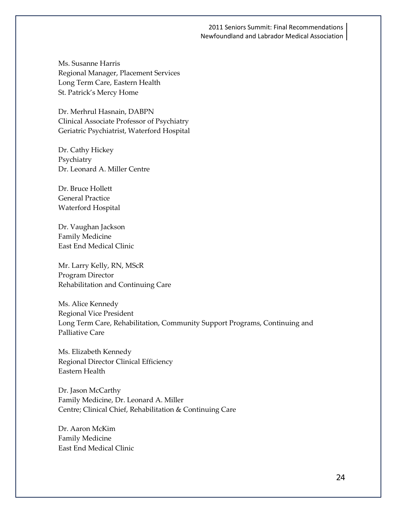Ms. Susanne Harris Regional Manager, Placement Services Long Term Care, Eastern Health St. Patrick's Mercy Home

Dr. Merhrul Hasnain, DABPN Clinical Associate Professor of Psychiatry Geriatric Psychiatrist, Waterford Hospital

Dr. Cathy Hickey Psychiatry Dr. Leonard A. Miller Centre

Dr. Bruce Hollett General Practice Waterford Hospital

Dr. Vaughan Jackson Family Medicine East End Medical Clinic

Mr. Larry Kelly, RN, MScR Program Director Rehabilitation and Continuing Care

Ms. Alice Kennedy Regional Vice President Long Term Care, Rehabilitation, Community Support Programs, Continuing and Palliative Care

Ms. Elizabeth Kennedy Regional Director Clinical Efficiency Eastern Health

Dr. Jason McCarthy Family Medicine, Dr. Leonard A. Miller Centre; Clinical Chief, Rehabilitation & Continuing Care

Dr. Aaron McKim Family Medicine East End Medical Clinic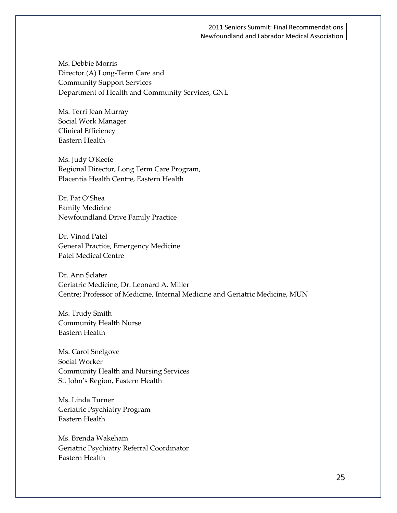Ms. Debbie Morris Director (A) Long-Term Care and Community Support Services Department of Health and Community Services, GNL

Ms. Terri Jean Murray Social Work Manager Clinical Efficiency Eastern Health

Ms. Judy O'Keefe Regional Director, Long Term Care Program, Placentia Health Centre, Eastern Health

Dr. Pat O'Shea Family Medicine Newfoundland Drive Family Practice

Dr. Vinod Patel General Practice, Emergency Medicine Patel Medical Centre

Dr. Ann Sclater Geriatric Medicine, Dr. Leonard A. Miller Centre; Professor of Medicine, Internal Medicine and Geriatric Medicine, MUN

Ms. Trudy Smith Community Health Nurse Eastern Health

Ms. Carol Snelgove Social Worker Community Health and Nursing Services St. John's Region, Eastern Health

Ms. Linda Turner Geriatric Psychiatry Program Eastern Health

Ms. Brenda Wakeham Geriatric Psychiatry Referral Coordinator Eastern Health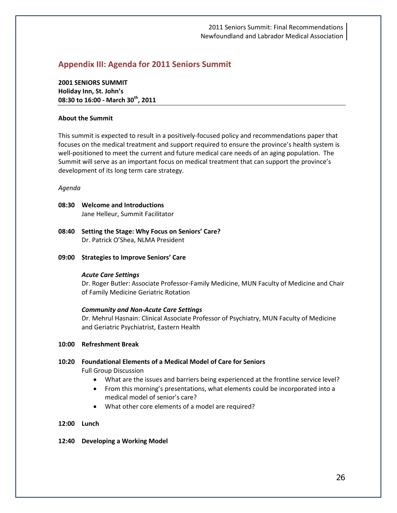# **Appendix III: Agenda for 2011 Seniors Summit**

**2001 SENIORS SUMMIT Holiday Inn, St. John's 08:30 to 16:00 - March 30th, 2011** 

#### **About the Summit**

This summit is expected to result in a positively-focused policy and recommendations paper that focuses on the medical treatment and support required to ensure the province's health system is well-positioned to meet the current and future medical care needs of an aging population. The Summit will serve as an important focus on medical treatment that can support the province's development of its long term care strategy.

#### *Agenda*

- **08:30 Welcome and Introductions** Jane Helleur, Summit Facilitator
- **08:40 Setting the Stage: Why Focus on Seniors' Care?** Dr. Patrick O'Shea, NLMA President
- **09:00 Strategies to Improve Seniors' Care**

#### *Acute Care Settings*

Dr. Roger Butler: Associate Professor-Family Medicine, MUN Faculty of Medicine and Chair of Family Medicine Geriatric Rotation

#### *Community and Non-Acute Care Settings*

Dr. Mehrul Hasnain: Clinical Associate Professor of Psychiatry, MUN Faculty of Medicine and Geriatric Psychiatrist, Eastern Health

#### **10:00 Refreshment Break**

# **10:20 Foundational Elements of a Medical Model of Care for Seniors**

Full Group Discussion

- What are the issues and barriers being experienced at the frontline service level?
- From this morning's presentations, what elements could be incorporated into a medical model of senior's care?
- What other core elements of a model are required?

#### **12:00 Lunch**

#### **12:40 Developing a Working Model**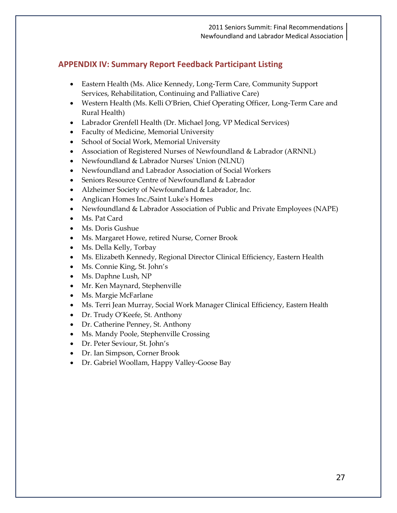# **APPENDIX IV: Summary Report Feedback Participant Listing**

- Eastern Health (Ms. Alice Kennedy, Long-Term Care, Community Support Services, Rehabilitation, Continuing and Palliative Care)
- Western Health (Ms. Kelli O'Brien, Chief Operating Officer, Long-Term Care and Rural Health)
- Labrador Grenfell Health (Dr. Michael Jong, VP Medical Services)
- Faculty of Medicine, Memorial University
- School of Social Work, Memorial University
- Association of Registered Nurses of Newfoundland & Labrador (ARNNL)
- Newfoundland & Labrador Nurses' Union (NLNU)
- Newfoundland and Labrador Association of Social Workers
- Seniors Resource Centre of Newfoundland & Labrador
- Alzheimer Society of Newfoundland & Labrador, Inc.
- Anglican Homes Inc./Saint Luke's Homes
- Newfoundland & Labrador Association of Public and Private Employees (NAPE)
- Ms. Pat Card
- Ms. Doris Gushue
- Ms. Margaret Howe, retired Nurse, Corner Brook
- Ms. Della Kelly, Torbay
- Ms. Elizabeth Kennedy, Regional Director Clinical Efficiency, Eastern Health
- Ms. Connie King, St. John's
- Ms. Daphne Lush, NP
- Mr. Ken Maynard, Stephenville
- Ms. Margie McFarlane
- Ms. Terri Jean Murray, Social Work Manager Clinical Efficiency, Eastern Health
- Dr. Trudy O'Keefe, St. Anthony
- Dr. Catherine Penney, St. Anthony
- Ms. Mandy Poole, Stephenville Crossing
- Dr. Peter Seviour, St. John's
- Dr. Ian Simpson, Corner Brook
- Dr. Gabriel Woollam, Happy Valley-Goose Bay